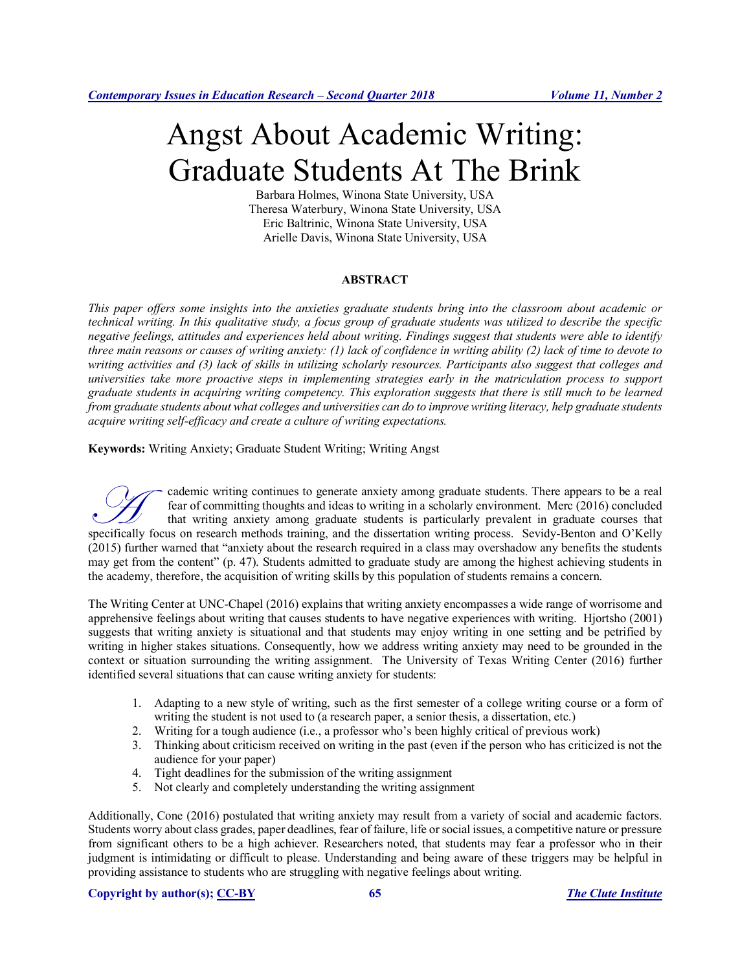# Angst About Academic Writing: Graduate Students At The Brink

Barbara Holmes, Winona State University, USA Theresa Waterbury, Winona State University, USA Eric Baltrinic, Winona State University, USA Arielle Davis, Winona State University, USA

## **ABSTRACT**

*This paper offers some insights into the anxieties graduate students bring into the classroom about academic or technical writing. In this qualitative study, a focus group of graduate students was utilized to describe the specific negative feelings, attitudes and experiences held about writing. Findings suggest that students were able to identify three main reasons or causes of writing anxiety: (1) lack of confidence in writing ability (2) lack of time to devote to writing activities and (3) lack of skills in utilizing scholarly resources. Participants also suggest that colleges and universities take more proactive steps in implementing strategies early in the matriculation process to support graduate students in acquiring writing competency. This exploration suggests that there is still much to be learned from graduate students about what colleges and universities can do to improve writing literacy, help graduate students acquire writing self-efficacy and create a culture of writing expectations.*

**Keywords:** Writing Anxiety; Graduate Student Writing; Writing Angst

cademic writing continues to generate anxiety among graduate students. There appears to be a real fear of committing thoughts and ideas to writing in a scholarly environment. Merc (2016) concluded that writing anxiety among graduate students is particularly prevalent in graduate courses that specifically focus on research methods training, and the dissertation writing process. Sevidy-Benton and O'Kelly and  $\mathbf{r}$  and  $\mathbf{r}$  and the dissertation writing process. Sevidy-Benton and O'Kelly and  $\mathbf{r}$  and  $\$ (2015) further warned that "anxiety about the research required in a class may overshadow any benefits the students may get from the content" (p. 47). Students admitted to graduate study are among the highest achieving students in the academy, therefore, the acquisition of writing skills by this population of students remains a concern.

The Writing Center at UNC-Chapel (2016) explains that writing anxiety encompasses a wide range of worrisome and apprehensive feelings about writing that causes students to have negative experiences with writing. Hjortsho (2001) suggests that writing anxiety is situational and that students may enjoy writing in one setting and be petrified by writing in higher stakes situations. Consequently, how we address writing anxiety may need to be grounded in the context or situation surrounding the writing assignment. The University of Texas Writing Center (2016) further identified several situations that can cause writing anxiety for students:

- 1. Adapting to a new style of writing, such as the first semester of a college writing course or a form of writing the student is not used to (a research paper, a senior thesis, a dissertation, etc.)
- 2. Writing for a tough audience (i.e., a professor who's been highly critical of previous work)
- 3. Thinking about criticism received on writing in the past (even if the person who has criticized is not the audience for your paper)
- 4. Tight deadlines for the submission of the writing assignment
- 5. Not clearly and completely understanding the writing assignment

Additionally, Cone (2016) postulated that writing anxiety may result from a variety of social and academic factors. Students worry about class grades, paper deadlines, fear of failure, life or social issues, a competitive nature or pressure from significant others to be a high achiever. Researchers noted, that students may fear a professor who in their judgment is intimidating or difficult to please. Understanding and being aware of these triggers may be helpful in providing assistance to students who are struggling with negative feelings about writing.

#### **Copyright by author(s); CC-BY 65** *The Clute Institute*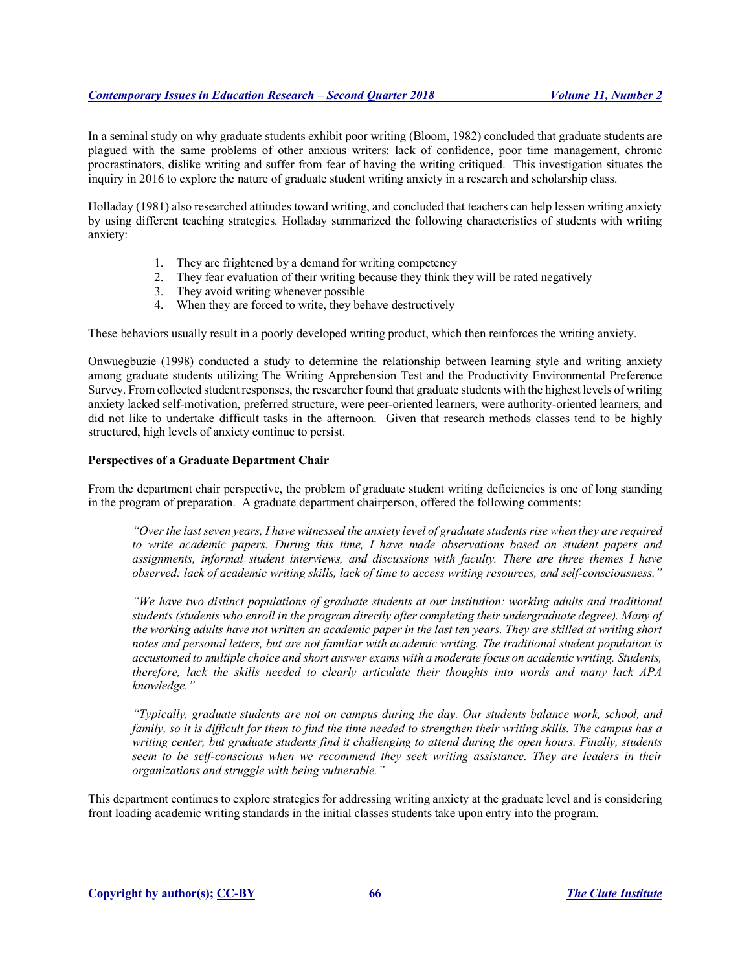In a seminal study on why graduate students exhibit poor writing (Bloom, 1982) concluded that graduate students are plagued with the same problems of other anxious writers: lack of confidence, poor time management, chronic procrastinators, dislike writing and suffer from fear of having the writing critiqued. This investigation situates the inquiry in 2016 to explore the nature of graduate student writing anxiety in a research and scholarship class.

Holladay (1981) also researched attitudes toward writing, and concluded that teachers can help lessen writing anxiety by using different teaching strategies. Holladay summarized the following characteristics of students with writing anxiety:

- 1. They are frightened by a demand for writing competency
- 2. They fear evaluation of their writing because they think they will be rated negatively
- 3. They avoid writing whenever possible
- 4. When they are forced to write, they behave destructively

These behaviors usually result in a poorly developed writing product, which then reinforces the writing anxiety.

Onwuegbuzie (1998) conducted a study to determine the relationship between learning style and writing anxiety among graduate students utilizing The Writing Apprehension Test and the Productivity Environmental Preference Survey. From collected student responses, the researcher found that graduate students with the highest levels of writing anxiety lacked self-motivation, preferred structure, were peer-oriented learners, were authority-oriented learners, and did not like to undertake difficult tasks in the afternoon. Given that research methods classes tend to be highly structured, high levels of anxiety continue to persist.

#### **Perspectives of a Graduate Department Chair**

From the department chair perspective, the problem of graduate student writing deficiencies is one of long standing in the program of preparation. A graduate department chairperson, offered the following comments:

*"Over the last seven years, I have witnessed the anxiety level of graduate students rise when they are required to write academic papers. During this time, I have made observations based on student papers and assignments, informal student interviews, and discussions with faculty. There are three themes I have observed: lack of academic writing skills, lack of time to access writing resources, and self-consciousness."*

*"We have two distinct populations of graduate students at our institution: working adults and traditional students (students who enroll in the program directly after completing their undergraduate degree). Many of the working adults have not written an academic paper in the last ten years. They are skilled at writing short notes and personal letters, but are not familiar with academic writing. The traditional student population is accustomed to multiple choice and short answer exams with a moderate focus on academic writing. Students, therefore, lack the skills needed to clearly articulate their thoughts into words and many lack APA knowledge."*

*"Typically, graduate students are not on campus during the day. Our students balance work, school, and family, so it is difficult for them to find the time needed to strengthen their writing skills. The campus has a writing center, but graduate students find it challenging to attend during the open hours. Finally, students seem to be self-conscious when we recommend they seek writing assistance. They are leaders in their organizations and struggle with being vulnerable."*

This department continues to explore strategies for addressing writing anxiety at the graduate level and is considering front loading academic writing standards in the initial classes students take upon entry into the program.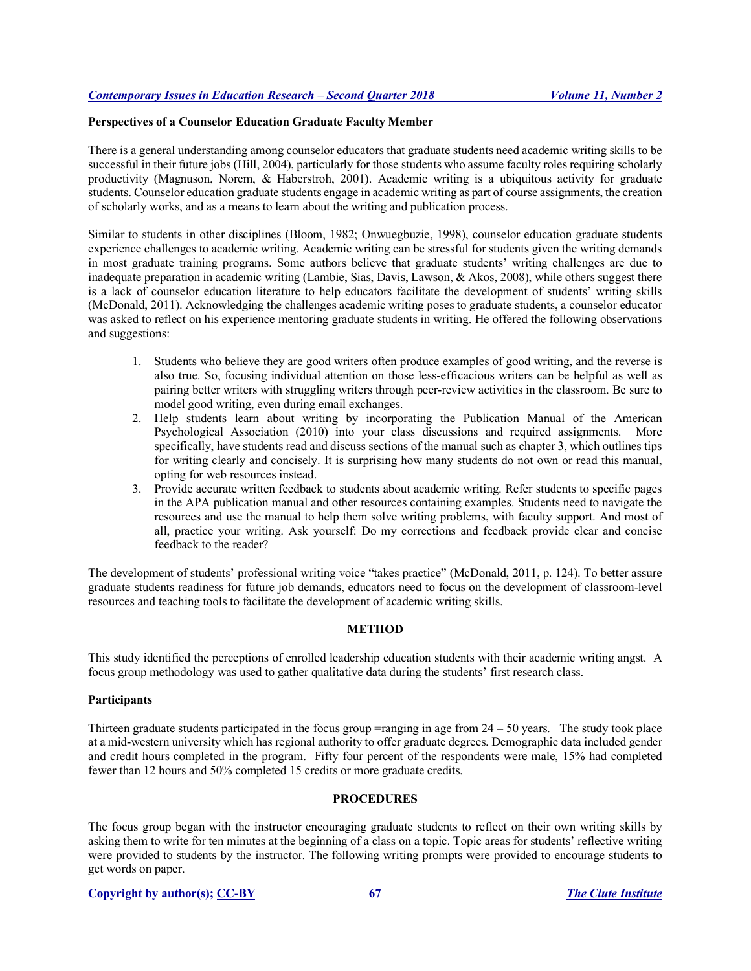## **Perspectives of a Counselor Education Graduate Faculty Member**

There is a general understanding among counselor educators that graduate students need academic writing skills to be successful in their future jobs (Hill, 2004), particularly for those students who assume faculty roles requiring scholarly productivity (Magnuson, Norem, & Haberstroh, 2001). Academic writing is a ubiquitous activity for graduate students. Counselor education graduate students engage in academic writing as part of course assignments, the creation of scholarly works, and as a means to learn about the writing and publication process.

Similar to students in other disciplines (Bloom, 1982; Onwuegbuzie, 1998), counselor education graduate students experience challenges to academic writing. Academic writing can be stressful for students given the writing demands in most graduate training programs. Some authors believe that graduate students' writing challenges are due to inadequate preparation in academic writing (Lambie, Sias, Davis, Lawson, & Akos, 2008), while others suggest there is a lack of counselor education literature to help educators facilitate the development of students' writing skills (McDonald, 2011). Acknowledging the challenges academic writing poses to graduate students, a counselor educator was asked to reflect on his experience mentoring graduate students in writing. He offered the following observations and suggestions:

- 1. Students who believe they are good writers often produce examples of good writing, and the reverse is also true. So, focusing individual attention on those less-efficacious writers can be helpful as well as pairing better writers with struggling writers through peer-review activities in the classroom. Be sure to model good writing, even during email exchanges.
- 2. Help students learn about writing by incorporating the Publication Manual of the American Psychological Association (2010) into your class discussions and required assignments. More specifically, have students read and discuss sections of the manual such as chapter 3, which outlines tips for writing clearly and concisely. It is surprising how many students do not own or read this manual, opting for web resources instead.
- 3. Provide accurate written feedback to students about academic writing. Refer students to specific pages in the APA publication manual and other resources containing examples. Students need to navigate the resources and use the manual to help them solve writing problems, with faculty support. And most of all, practice your writing. Ask yourself: Do my corrections and feedback provide clear and concise feedback to the reader?

The development of students' professional writing voice "takes practice" (McDonald, 2011, p. 124). To better assure graduate students readiness for future job demands, educators need to focus on the development of classroom-level resources and teaching tools to facilitate the development of academic writing skills.

## **METHOD**

This study identified the perceptions of enrolled leadership education students with their academic writing angst. A focus group methodology was used to gather qualitative data during the students' first research class.

## **Participants**

Thirteen graduate students participated in the focus group  $=$ ranging in age from  $24 - 50$  years. The study took place at a mid-western university which has regional authority to offer graduate degrees. Demographic data included gender and credit hours completed in the program. Fifty four percent of the respondents were male, 15% had completed fewer than 12 hours and 50% completed 15 credits or more graduate credits.

## **PROCEDURES**

The focus group began with the instructor encouraging graduate students to reflect on their own writing skills by asking them to write for ten minutes at the beginning of a class on a topic. Topic areas for students' reflective writing were provided to students by the instructor. The following writing prompts were provided to encourage students to get words on paper.

#### **Copyright by author(s); CC-BY 67** *The Clute Institute*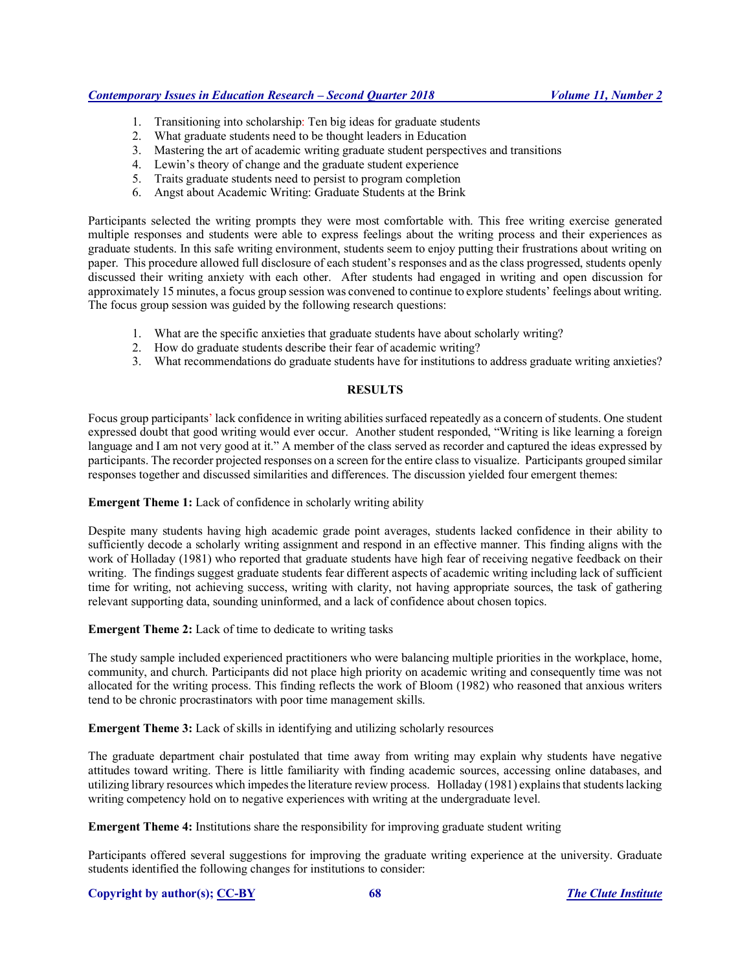## *Contemporary Issues in Education Research – Second Quarter 2018 Volume 11, Number 2*

- 1. Transitioning into scholarship: Ten big ideas for graduate students
- 2. What graduate students need to be thought leaders in Education
- 3. Mastering the art of academic writing graduate student perspectives and transitions
- 4. Lewin's theory of change and the graduate student experience
- 5. Traits graduate students need to persist to program completion
- 6. Angst about Academic Writing: Graduate Students at the Brink

Participants selected the writing prompts they were most comfortable with. This free writing exercise generated multiple responses and students were able to express feelings about the writing process and their experiences as graduate students. In this safe writing environment, students seem to enjoy putting their frustrations about writing on paper. This procedure allowed full disclosure of each student's responses and as the class progressed, students openly discussed their writing anxiety with each other. After students had engaged in writing and open discussion for approximately 15 minutes, a focus group session was convened to continue to explore students' feelings about writing. The focus group session was guided by the following research questions:

- 1. What are the specific anxieties that graduate students have about scholarly writing?
- 2. How do graduate students describe their fear of academic writing?
- 3. What recommendations do graduate students have for institutions to address graduate writing anxieties?

## **RESULTS**

Focus group participants' lack confidence in writing abilities surfaced repeatedly as a concern of students. One student expressed doubt that good writing would ever occur. Another student responded, "Writing is like learning a foreign language and I am not very good at it." A member of the class served as recorder and captured the ideas expressed by participants. The recorder projected responses on a screen for the entire class to visualize. Participants grouped similar responses together and discussed similarities and differences. The discussion yielded four emergent themes:

#### **Emergent Theme 1:** Lack of confidence in scholarly writing ability

Despite many students having high academic grade point averages, students lacked confidence in their ability to sufficiently decode a scholarly writing assignment and respond in an effective manner. This finding aligns with the work of Holladay (1981) who reported that graduate students have high fear of receiving negative feedback on their writing. The findings suggest graduate students fear different aspects of academic writing including lack of sufficient time for writing, not achieving success, writing with clarity, not having appropriate sources, the task of gathering relevant supporting data, sounding uninformed, and a lack of confidence about chosen topics.

**Emergent Theme 2:** Lack of time to dedicate to writing tasks

The study sample included experienced practitioners who were balancing multiple priorities in the workplace, home, community, and church. Participants did not place high priority on academic writing and consequently time was not allocated for the writing process. This finding reflects the work of Bloom (1982) who reasoned that anxious writers tend to be chronic procrastinators with poor time management skills.

**Emergent Theme 3:** Lack of skills in identifying and utilizing scholarly resources

The graduate department chair postulated that time away from writing may explain why students have negative attitudes toward writing. There is little familiarity with finding academic sources, accessing online databases, and utilizing library resources which impedes the literature review process. Holladay (1981) explains that students lacking writing competency hold on to negative experiences with writing at the undergraduate level.

**Emergent Theme 4:** Institutions share the responsibility for improving graduate student writing

Participants offered several suggestions for improving the graduate writing experience at the university. Graduate students identified the following changes for institutions to consider:

#### **Copyright by author(s); CC-BY 68** *The Clute Institute*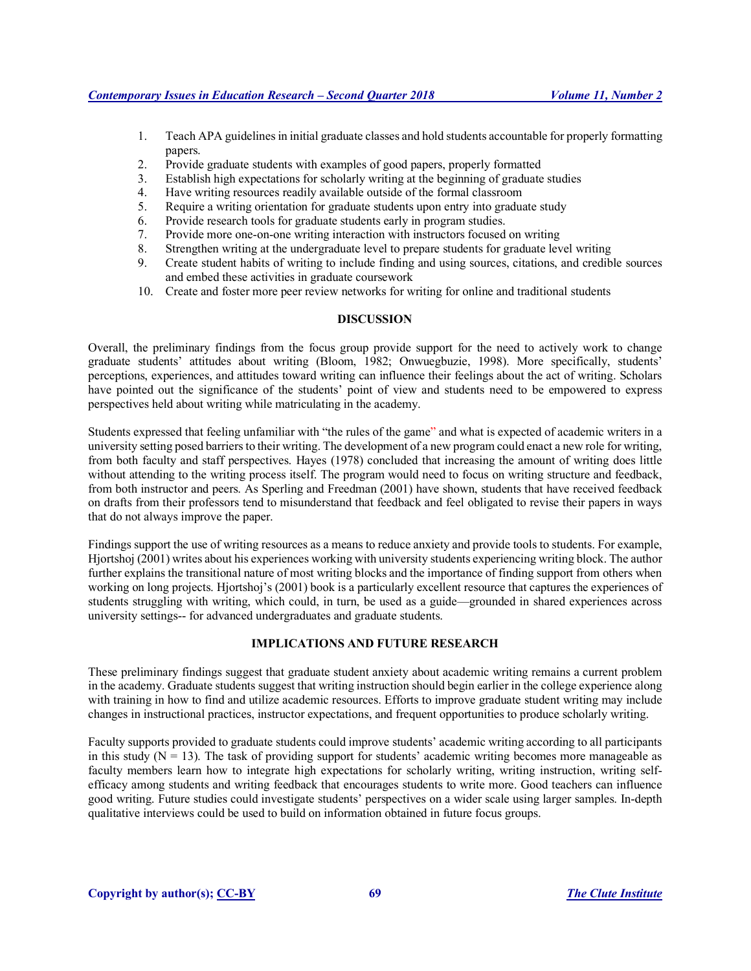- 1. Teach APA guidelines in initial graduate classes and hold students accountable for properly formatting papers.
- 2. Provide graduate students with examples of good papers, properly formatted
- 3. Establish high expectations for scholarly writing at the beginning of graduate studies
- 4. Have writing resources readily available outside of the formal classroom
- 5. Require a writing orientation for graduate students upon entry into graduate study
- 6. Provide research tools for graduate students early in program studies.
- 7. Provide more one-on-one writing interaction with instructors focused on writing
- 8. Strengthen writing at the undergraduate level to prepare students for graduate level writing
- 9. Create student habits of writing to include finding and using sources, citations, and credible sources and embed these activities in graduate coursework
- 10. Create and foster more peer review networks for writing for online and traditional students

## **DISCUSSION**

Overall, the preliminary findings from the focus group provide support for the need to actively work to change graduate students' attitudes about writing (Bloom, 1982; Onwuegbuzie, 1998). More specifically, students' perceptions, experiences, and attitudes toward writing can influence their feelings about the act of writing. Scholars have pointed out the significance of the students' point of view and students need to be empowered to express perspectives held about writing while matriculating in the academy.

Students expressed that feeling unfamiliar with "the rules of the game" and what is expected of academic writers in a university setting posed barriers to their writing. The development of a new program could enact a new role for writing, from both faculty and staff perspectives. Hayes (1978) concluded that increasing the amount of writing does little without attending to the writing process itself. The program would need to focus on writing structure and feedback, from both instructor and peers. As Sperling and Freedman (2001) have shown, students that have received feedback on drafts from their professors tend to misunderstand that feedback and feel obligated to revise their papers in ways that do not always improve the paper.

Findings support the use of writing resources as a means to reduce anxiety and provide tools to students. For example, Hjortshoj (2001) writes about his experiences working with university students experiencing writing block. The author further explains the transitional nature of most writing blocks and the importance of finding support from others when working on long projects. Hjortshoj's (2001) book is a particularly excellent resource that captures the experiences of students struggling with writing, which could, in turn, be used as a guide—grounded in shared experiences across university settings-- for advanced undergraduates and graduate students.

# **IMPLICATIONS AND FUTURE RESEARCH**

These preliminary findings suggest that graduate student anxiety about academic writing remains a current problem in the academy. Graduate students suggest that writing instruction should begin earlier in the college experience along with training in how to find and utilize academic resources. Efforts to improve graduate student writing may include changes in instructional practices, instructor expectations, and frequent opportunities to produce scholarly writing.

Faculty supports provided to graduate students could improve students' academic writing according to all participants in this study  $(N = 13)$ . The task of providing support for students' academic writing becomes more manageable as faculty members learn how to integrate high expectations for scholarly writing, writing instruction, writing selfefficacy among students and writing feedback that encourages students to write more. Good teachers can influence good writing. Future studies could investigate students' perspectives on a wider scale using larger samples. In-depth qualitative interviews could be used to build on information obtained in future focus groups.